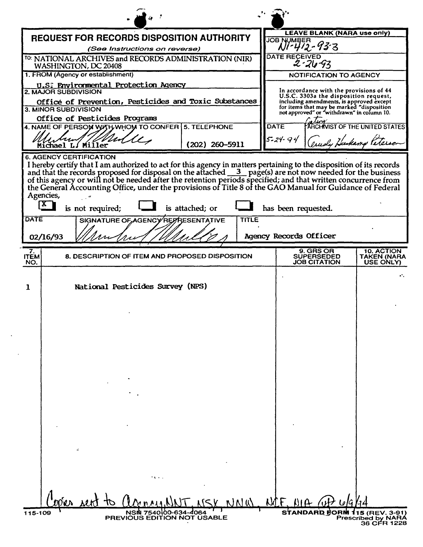|                           | <b>REQUEST FOR RECORDS DISPOSITION AUTHORITY</b>                                                                                                                                                                                                                                                                                                                           |                  |               | <b>LEAVE BLANK (NARA use only)</b><br><b>JOB NUMBER</b>                                                                      |                                        |
|---------------------------|----------------------------------------------------------------------------------------------------------------------------------------------------------------------------------------------------------------------------------------------------------------------------------------------------------------------------------------------------------------------------|------------------|---------------|------------------------------------------------------------------------------------------------------------------------------|----------------------------------------|
|                           | (See Instructions on reverse)                                                                                                                                                                                                                                                                                                                                              |                  |               | NI-412-93-3                                                                                                                  |                                        |
|                           | <sup>TO:</sup> NATIONAL ARCHIVES and RECORDS ADMINISTRATION (NIR)<br>WASHINGTON, DC 20408                                                                                                                                                                                                                                                                                  |                  |               | DATE RECEIVED<br>$2 - 26 - 93$                                                                                               |                                        |
|                           | 1. FROM (Agency or establishment)                                                                                                                                                                                                                                                                                                                                          |                  |               | <b>NOTIFICATION TO AGENCY</b>                                                                                                |                                        |
|                           | U.S. Environmental Protection Agency<br>2. MAJOR SUBDIVISION<br>Office of Prevention, Pesticides and Toxic Substances                                                                                                                                                                                                                                                      |                  |               | In accordance with the provisions of 44<br>U.S.C. 3303a the disposition request,<br>including amendments, is approved except |                                        |
|                           | 3. MINOR SUBDIVISION<br>Office of Pesticides Programs                                                                                                                                                                                                                                                                                                                      |                  |               | for items that may be marked "disposition<br>not approved" or "withdrawn" in column 10.                                      |                                        |
|                           | 4. NAME OF PERSON WATH WHOM TO CONFER 5. TELEPHONE                                                                                                                                                                                                                                                                                                                         |                  | <b>DATE</b>   |                                                                                                                              | ARCHIVIST OF THE UNITED STATES         |
|                           | Michael L. Miller                                                                                                                                                                                                                                                                                                                                                          | $(202)$ 260-5911 | $5 - 24 - 94$ |                                                                                                                              | arudy Hukang Peterson                  |
| Agencies,<br>$\mathbf{X}$ | I hereby certify that I am authorized to act for this agency in matters pertaining to the disposition of its records<br>and that the records proposed for disposal on the attached 3 page(s) are not now needed for the business of this agency or will not be needed after the retention periods specified; and that written concurrence from the Gen<br>is not required; | is attached; or  |               | has been requested.                                                                                                          |                                        |
| DATE                      | SIGNATURE OF AGENCY REPRESENTATIVE                                                                                                                                                                                                                                                                                                                                         | TITLE            |               |                                                                                                                              |                                        |
| 02/16/93                  |                                                                                                                                                                                                                                                                                                                                                                            |                  |               | Agency Records Officer                                                                                                       |                                        |
| 7.<br><b>ITEM</b><br>NO.  | 8. DESCRIPTION OF ITEM AND PROPOSED DISPOSITION                                                                                                                                                                                                                                                                                                                            |                  |               | <b>9. GRS OR</b><br><b>SUPERSEDED</b><br><b>JOB CITATION</b>                                                                 | 10. ACTION<br>TAKEN (NARA<br>USE ONLY) |
| 1                         | National Pesticides Survey (NPS)                                                                                                                                                                                                                                                                                                                                           |                  |               |                                                                                                                              | $\mathbf{a}^{\mathsf{T}}$ .            |
|                           |                                                                                                                                                                                                                                                                                                                                                                            |                  |               |                                                                                                                              |                                        |
|                           |                                                                                                                                                                                                                                                                                                                                                                            |                  |               |                                                                                                                              |                                        |
|                           |                                                                                                                                                                                                                                                                                                                                                                            |                  |               |                                                                                                                              |                                        |
|                           |                                                                                                                                                                                                                                                                                                                                                                            |                  |               |                                                                                                                              |                                        |
|                           |                                                                                                                                                                                                                                                                                                                                                                            |                  |               |                                                                                                                              |                                        |
|                           |                                                                                                                                                                                                                                                                                                                                                                            |                  |               |                                                                                                                              |                                        |
|                           |                                                                                                                                                                                                                                                                                                                                                                            |                  |               |                                                                                                                              |                                        |
|                           |                                                                                                                                                                                                                                                                                                                                                                            |                  |               |                                                                                                                              |                                        |
|                           |                                                                                                                                                                                                                                                                                                                                                                            |                  |               |                                                                                                                              |                                        |
|                           | $\mathcal{L}_{\mathbf{r}}$                                                                                                                                                                                                                                                                                                                                                 |                  |               |                                                                                                                              |                                        |
|                           |                                                                                                                                                                                                                                                                                                                                                                            |                  |               |                                                                                                                              |                                        |
|                           |                                                                                                                                                                                                                                                                                                                                                                            |                  |               |                                                                                                                              |                                        |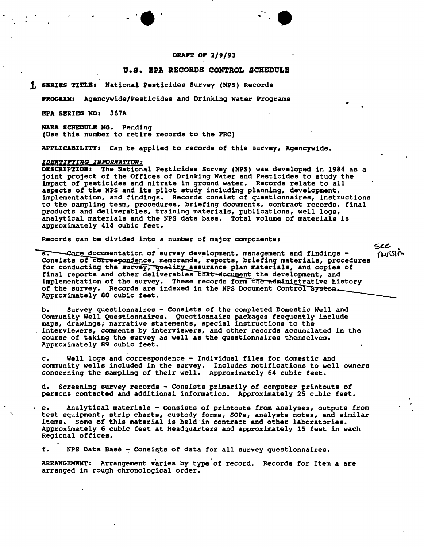## DRAFT OF 2/9/93

•

## O.S. EPA RECORDS CONTROL SCHEDULE

## 1. SERIES TITLE: National Pesticides Survey (NPS) Records

'- .'.' "

PROGRAM: Agencywide/Pesticides and Drinking Water Programs

EPA SERIES *HOa* 367A

HARA SCBEDULB HO. Pending (Use this number to retire records to the rRC)

APPLICABILITY: Can be applied to records of this survey, Agencywide.

### **IDENTIFYING INFORMATION:**

-.

DESCRIPTION: The National Pesticides Survey (NPS) was developed in 1984 as a joint project of the Offices of Drinking Water and Pesticides to study the impact of pesticides and nitrate in ground water. Records relate to all aspects of the RPS and its pilot study including planning, development, implementation, and findings. Records consist of questionnaires, instructions to the sampling team, procedures, briefing documents, contract records, final products and deliverables, training materials, publications, well logs, analytical materials and the NPS data base. Total volume of materials is approximately 414 cubic feet.

Records can be divided into a number of major components:

a. Core documentation of survey development, management and findings -Consists of correspondence, memoranda, reports, briefing materials, procedures for conducting the survey, quality assurance plan materials, and copies of final reports and other deliverables that document the development, and implementation of the survey. These records form the administrative history of the survey. Records are indexed in the NPS Document Control System. Approximately 80 cubic feet.

b. Survey questionnaires - Consists of the completed Domestic Well and Community Well Questionnaires. Questionnaire packages frequently include maps, drawings; narrative statements, special instructions to the interviewers, comments by interviewers, and other records accumulated in the course of taking the survey as well as the questionnaires themselves. Approximately 89 cubic feet.

c. Well logs and correspondence - Individual files for domestic and community wells included in the survey. Includes notifications to well owners concerning the sampling of their well. Approximately 64 cubic feet.

d. Screening survey records - Consists primarily of computer printouts of persons contacted and-additional information. Approximately 25 cubic feet.

e. Analytical materials - Consists of printouts from analyses, outputs from test equipment, strip charts, custody forms, SOPs, analysts notes, and similar items. Some of this material is held in contract and other laboratories. Approximately 6 cubic feet at Headquarters and approximately 15 feet in each Regional offices.

f. NPS Data Base - Consists of data for all survey questionnaires.

ARRANGEMENT: Arrangement varies by type'of record. Records for Item a are arranged in rough chronological order.

sec revisin

NWML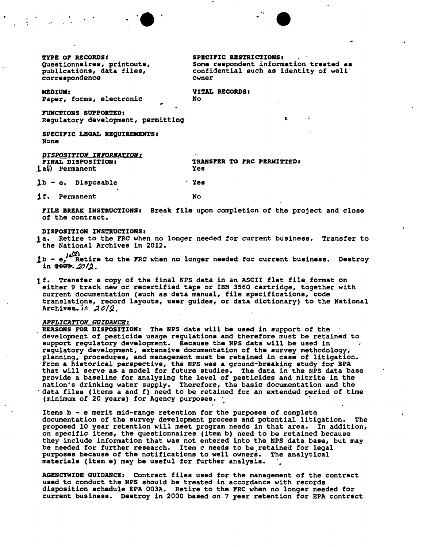TYPE OF RECORDS: Questionnaires, printouts, publications, data files, correspondence

**SPECIFIC RESTRICTIONS:** Some respondent information treated as confidential such as identity of well owner

MEDIUM: Paper, forms, electronic VITAL RECORDS:  $N<sub>0</sub>$ 

**FUNCTIONS SUPPORTED:** Regulatory development, permitting

SPECIFIC LEGAL REQUIREMENTS: **None** 

DISPOSITION INFORMATION: TRANSFER TO FRC PERMITTED: **FINAL DISPOSITION:** 1a() Permanent Yes

 $1b - e$ . Disposable **Yes** 

1f. Permanent

No

FILE BREAK INSTRUCTIONS: Break file upon completion of the project and close of the contract.

DISPOSITION INSTRUCTIONS:

- 1a. Retire to the FRC when no longer needed for current business. Transfer to the National Archives in 2012.
- 1b  $e^{i\alpha/2}$  Retire to the FRC when no longer needed for current business. Destroy in  $2002.$
- 1f. Transfer a copy of the final NPS data in an ASCII flat file format on either 9 track new or recertified tape or IBM 3560 cartridge, together with current documentation (such as data manual, file specifications, code translations, record layouts, user guides, or data dictionary) to the National Archives. in  $20/2$ .

#### APPLICATION GUIDANCE:

REASONS FOR DISPOSITION: The NPS data will be used in support of the development of pesticide usage regulations and therefore must be retained to support regulatory development. Because the NPS data will be used in regulatory development, extensive documentation of the survey methodology, planning, procedures, and management must be retained in case of litigation. From a historical perspective, the NPS was a ground-breaking study for EPA that will serve as a model for future studies. The data in the NPS data base provide a baseline for analyzing the level of pesticides and nitrite in the nation's drinking water supply. Therefore, the basic documentation and the data files (items a and f) need to be retained for an extended period of time (minimum of 20 years) for Agency purposes.

Items  $b - e$  merit mid-range retention for the purposes of complete documentation of the survey development process and potential litigation. The proposed 10 year retention will meet program needs in that area. In addition, on specific items, the questionnaires (item b) need to be retained because<br>they include information that was not entered into the NPS data base, but may be needed for further research. Item c needs to be retained for legal purposes because of the notifications to well owners. The analytical materials (item e) may be useful for further analysis.

AGENCYWIDE GUIDANCE: Contract files used for the management of the contract used to conduct the NPS should be treated in accordance with records disposition schedule EPA 003A. Retire to the FRC when no longer needed for current business. Destroy in 2000 based on 7 year retention for EPA contract